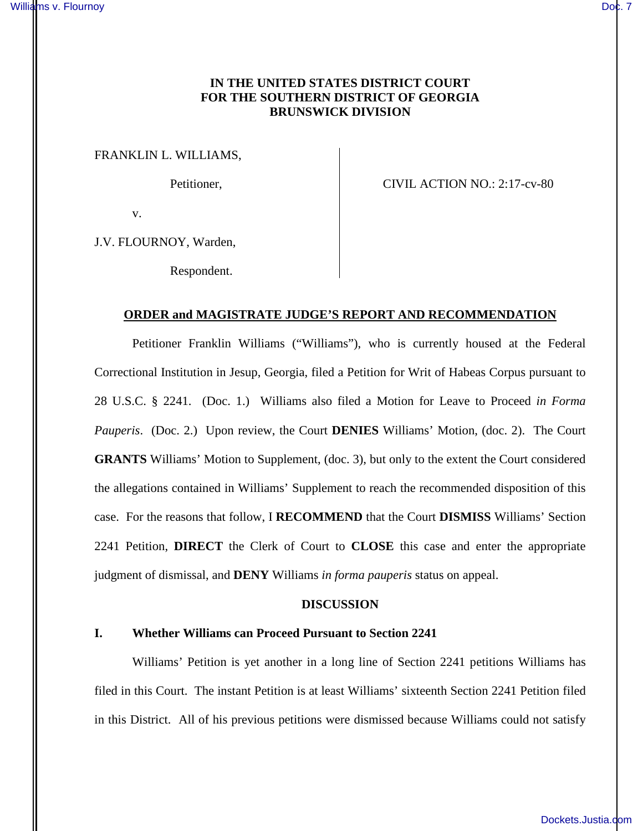# **IN THE UNITED STATES DISTRICT COURT FOR THE SOUTHERN DISTRICT OF GEORGIA BRUNSWICK DIVISION**

FRANKLIN L. WILLIAMS,

Petitioner, CIVIL ACTION NO.: 2:17-cv-80

v.

J.V. FLOURNOY, Warden,

Respondent.

## **ORDER and MAGISTRATE JUDGE'S REPORT AND RECOMMENDATION**

Petitioner Franklin Williams ("Williams"), who is currently housed at the Federal Correctional Institution in Jesup, Georgia, filed a Petition for Writ of Habeas Corpus pursuant to 28 U.S.C. § 2241. (Doc. 1.) Williams also filed a Motion for Leave to Proceed *in Forma Pauperis*. (Doc. 2.) Upon review, the Court **DENIES** Williams' Motion, (doc. 2). The Court **GRANTS** Williams' Motion to Supplement, (doc. 3), but only to the extent the Court considered the allegations contained in Williams' Supplement to reach the recommended disposition of this case. For the reasons that follow, I **RECOMMEND** that the Court **DISMISS** Williams' Section 2241 Petition, **DIRECT** the Clerk of Court to **CLOSE** this case and enter the appropriate judgment of dismissal, and **DENY** Williams *in forma pauperis* status on appeal.

### **DISCUSSION**

### **I. Whether Williams can Proceed Pursuant to Section 2241**

Williams' Petition is yet another in a long line of Section 2241 petitions Williams has filed in this Court. The instant Petition is at least Williams' sixteenth Section 2241 Petition filed in this District. All of his previous petitions were dismissed because Williams could not satisfy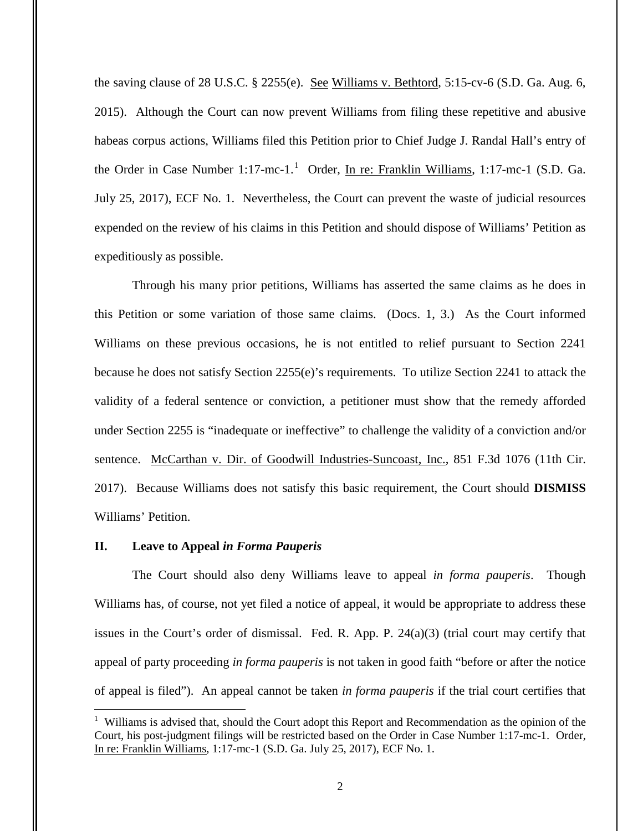the saving clause of 28 U.S.C. § 2255(e). See Williams v. Bethtord, 5:15-cv-6 (S.D. Ga. Aug. 6, 2015). Although the Court can now prevent Williams from filing these repetitive and abusive habeas corpus actions, Williams filed this Petition prior to Chief Judge J. Randal Hall's entry of the Order in Case Number 1:17-mc-1.<sup>1</sup> Order, In re: Franklin Williams, 1:17-mc-1 (S.D. Ga. July 25, 2017), ECF No. 1. Nevertheless, the Court can prevent the waste of judicial resources expended on the review of his claims in this Petition and should dispose of Williams' Petition as expeditiously as possible.

Through his many prior petitions, Williams has asserted the same claims as he does in this Petition or some variation of those same claims. (Docs. 1, 3.) As the Court informed Williams on these previous occasions, he is not entitled to relief pursuant to Section 2241 because he does not satisfy Section 2255(e)'s requirements. To utilize Section 2241 to attack the validity of a federal sentence or conviction, a petitioner must show that the remedy afforded under Section 2255 is "inadequate or ineffective" to challenge the validity of a conviction and/or sentence. McCarthan v. Dir. of Goodwill Industries-Suncoast, Inc., 851 F.3d 1076 (11th Cir. 2017). Because Williams does not satisfy this basic requirement, the Court should **DISMISS** Williams' Petition.

## **II. Leave to Appeal** *in Forma Pauperis*

<u>.</u>

The Court should also deny Williams leave to appeal *in forma pauperis*. Though Williams has, of course, not yet filed a notice of appeal, it would be appropriate to address these issues in the Court's order of dismissal. Fed. R. App. P.  $24(a)(3)$  (trial court may certify that appeal of party proceeding *in forma pauperis* is not taken in good faith "before or after the notice of appeal is filed"). An appeal cannot be taken *in forma pauperis* if the trial court certifies that

<sup>&</sup>lt;sup>1</sup> Williams is advised that, should the Court adopt this Report and Recommendation as the opinion of the Court, his post-judgment filings will be restricted based on the Order in Case Number 1:17-mc-1. Order, In re: Franklin Williams, 1:17-mc-1 (S.D. Ga. July 25, 2017), ECF No. 1.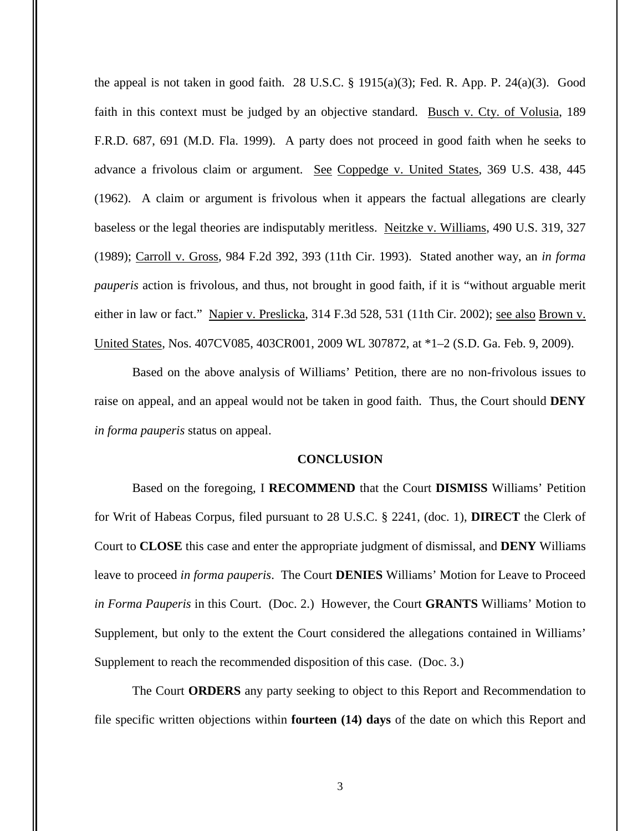the appeal is not taken in good faith. 28 U.S.C.  $\S$  1915(a)(3); Fed. R. App. P. 24(a)(3). Good faith in this context must be judged by an objective standard. Busch v. Cty. of Volusia, 189 F.R.D. 687, 691 (M.D. Fla. 1999). A party does not proceed in good faith when he seeks to advance a frivolous claim or argument. See Coppedge v. United States, 369 U.S. 438, 445 (1962). A claim or argument is frivolous when it appears the factual allegations are clearly baseless or the legal theories are indisputably meritless. Neitzke v. Williams, 490 U.S. 319, 327 (1989); Carroll v. Gross, 984 F.2d 392, 393 (11th Cir. 1993). Stated another way, an *in forma pauperis* action is frivolous, and thus, not brought in good faith, if it is "without arguable merit either in law or fact." Napier v. Preslicka, 314 F.3d 528, 531 (11th Cir. 2002); see also Brown v. United States, Nos. 407CV085, 403CR001, 2009 WL 307872, at \*1–2 (S.D. Ga. Feb. 9, 2009).

Based on the above analysis of Williams' Petition, there are no non-frivolous issues to raise on appeal, and an appeal would not be taken in good faith. Thus, the Court should **DENY** *in forma pauperis* status on appeal.

#### **CONCLUSION**

Based on the foregoing, I **RECOMMEND** that the Court **DISMISS** Williams' Petition for Writ of Habeas Corpus, filed pursuant to 28 U.S.C. § 2241, (doc. 1), **DIRECT** the Clerk of Court to **CLOSE** this case and enter the appropriate judgment of dismissal, and **DENY** Williams leave to proceed *in forma pauperis*. The Court **DENIES** Williams' Motion for Leave to Proceed *in Forma Pauperis* in this Court. (Doc. 2.) However, the Court **GRANTS** Williams' Motion to Supplement, but only to the extent the Court considered the allegations contained in Williams' Supplement to reach the recommended disposition of this case. (Doc. 3.)

The Court **ORDERS** any party seeking to object to this Report and Recommendation to file specific written objections within **fourteen (14) days** of the date on which this Report and